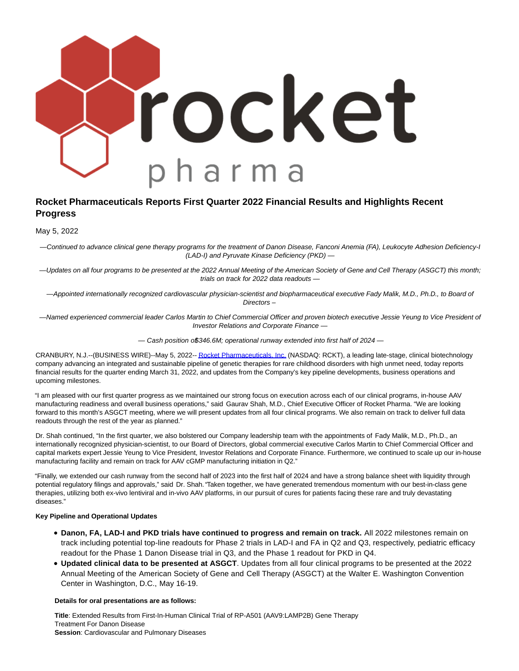

# **Rocket Pharmaceuticals Reports First Quarter 2022 Financial Results and Highlights Recent Progress**

May 5, 2022

— Continued to advance clinical gene therapy programs for the treatment of Danon Disease, Fanconi Anemia (FA), Leukocyte Adhesion Deficiency-I (LAD-I) and Pyruvate Kinase Deficiency (PKD) —

— Updates on all four programs to be presented at the 2022 Annual Meeting of the American Society of Gene and Cell Therapy (ASGCT) this month; trials on track for 2022 data readouts —

— Appointed internationally recognized cardiovascular physician-scientist and biopharmaceutical executive Fady Malik, M.D., Ph.D., to Board of Directors –

— Named experienced commercial leader Carlos Martin to Chief Commercial Officer and proven biotech executive Jessie Yeung to Vice President of Investor Relations and Corporate Finance —

 $-$  Cash position o\$346.6M; operational runway extended into first half of 2024  $-$ 

CRANBURY, N.J.--(BUSINESS WIRE)--May 5, 2022-[- Rocket Pharmaceuticals, Inc. \(](https://cts.businesswire.com/ct/CT?id=smartlink&url=https%3A%2F%2Frocketpharma.com%2F&esheet=52710018&newsitemid=20220505005970&lan=en-US&anchor=Rocket+Pharmaceuticals%2C+Inc.&index=1&md5=a192e92b9a55f1e79b93c5c640ac5ef3)NASDAQ: RCKT), a leading late-stage, clinical biotechnology company advancing an integrated and sustainable pipeline of genetic therapies for rare childhood disorders with high unmet need, today reports financial results for the quarter ending March 31, 2022, and updates from the Company's key pipeline developments, business operations and upcoming milestones.

"I am pleased with our first quarter progress as we maintained our strong focus on execution across each of our clinical programs, in-house AAV manufacturing readiness and overall business operations," said Gaurav Shah, M.D., Chief Executive Officer of Rocket Pharma. "We are looking forward to this month's ASGCT meeting, where we will present updates from all four clinical programs. We also remain on track to deliver full data readouts through the rest of the year as planned."

Dr. Shah continued, "In the first quarter, we also bolstered our Company leadership team with the appointments of Fady Malik, M.D., Ph.D., an internationally recognized physician-scientist, to our Board of Directors, global commercial executive Carlos Martin to Chief Commercial Officer and capital markets expert Jessie Yeung to Vice President, Investor Relations and Corporate Finance. Furthermore, we continued to scale up our in-house manufacturing facility and remain on track for AAV cGMP manufacturing initiation in Q2."

"Finally, we extended our cash runway from the second half of 2023 into the first half of 2024 and have a strong balance sheet with liquidity through potential regulatory filings and approvals," said Dr. Shah. "Taken together, we have generated tremendous momentum with our best-in-class gene therapies, utilizing both ex-vivo lentiviral and in-vivo AAV platforms, in our pursuit of cures for patients facing these rare and truly devastating diseases."

## **Key Pipeline and Operational Updates**

- **Danon, FA, LAD-I and PKD trials have continued to progress and remain on track.** All 2022 milestones remain on track including potential top-line readouts for Phase 2 trials in LAD-I and FA in Q2 and Q3, respectively, pediatric efficacy readout for the Phase 1 Danon Disease trial in Q3, and the Phase 1 readout for PKD in Q4.
- **Updated clinical data to be presented at ASGCT**. Updates from all four clinical programs to be presented at the 2022 Annual Meeting of the American Society of Gene and Cell Therapy (ASGCT) at the Walter E. Washington Convention Center in Washington, D.C., May 16-19.

## **Details for oral presentations are as follows:**

**Title**: Extended Results from First-In-Human Clinical Trial of RP-A501 (AAV9:LAMP2B) Gene Therapy Treatment For Danon Disease **Session**: Cardiovascular and Pulmonary Diseases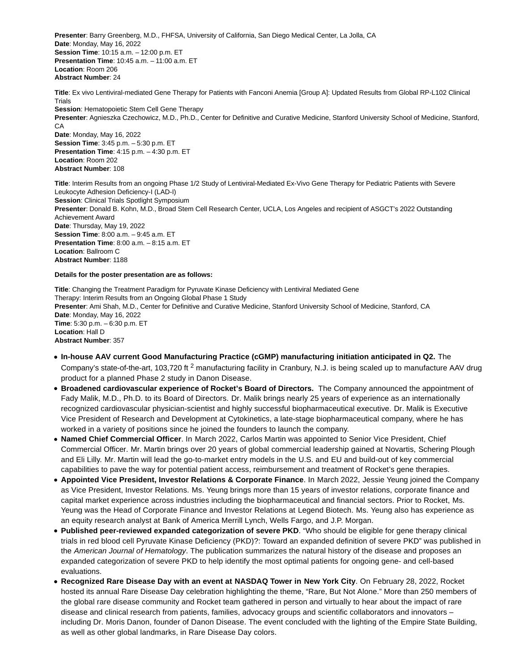**Presenter**: Barry Greenberg, M.D., FHFSA, University of California, San Diego Medical Center, La Jolla, CA **Date**: Monday, May 16, 2022 **Session Time**: 10:15 a.m. – 12:00 p.m. ET **Presentation Time**: 10:45 a.m. – 11:00 a.m. ET **Location**: Room 206 **Abstract Number**: 24

**Title**: Ex vivo Lentiviral-mediated Gene Therapy for Patients with Fanconi Anemia [Group A]: Updated Results from Global RP-L102 Clinical Trials **Session**: Hematopoietic Stem Cell Gene Therapy **Presenter**: Agnieszka Czechowicz, M.D., Ph.D., Center for Definitive and Curative Medicine, Stanford University School of Medicine, Stanford, CA **Date**: Monday, May 16, 2022 **Session Time**: 3:45 p.m. – 5:30 p.m. ET **Presentation Time**: 4:15 p.m. – 4:30 p.m. ET **Location**: Room 202 **Abstract Number**: 108

**Title**: Interim Results from an ongoing Phase 1/2 Study of Lentiviral-Mediated Ex-Vivo Gene Therapy for Pediatric Patients with Severe Leukocyte Adhesion Deficiency-I (LAD-I) **Session**: Clinical Trials Spotlight Symposium **Presenter**: Donald B. Kohn, M.D., Broad Stem Cell Research Center, UCLA, Los Angeles and recipient of ASGCT's 2022 Outstanding Achievement Award **Date**: Thursday, May 19, 2022 **Session Time**: 8:00 a.m. – 9:45 a.m. ET **Presentation Time**: 8:00 a.m. – 8:15 a.m. ET **Location**: Ballroom C **Abstract Number**: 1188

#### **Details for the poster presentation are as follows:**

**Title**: Changing the Treatment Paradigm for Pyruvate Kinase Deficiency with Lentiviral Mediated Gene Therapy: Interim Results from an Ongoing Global Phase 1 Study **Presenter**: Ami Shah, M.D., Center for Definitive and Curative Medicine, Stanford University School of Medicine, Stanford, CA **Date**: Monday, May 16, 2022 **Time**: 5:30 p.m. – 6:30 p.m. ET **Location**: Hall D **Abstract Number**: 357

- **In-house AAV current Good Manufacturing Practice (cGMP) manufacturing initiation anticipated in Q2.** The Company's state-of-the-art, 103,720 ft <sup>2</sup> manufacturing facility in Cranbury, N.J. is being scaled up to manufacture AAV drug product for a planned Phase 2 study in Danon Disease.
- **Broadened cardiovascular experience of Rocket's Board of Directors.** The Company announced the appointment of Fady Malik, M.D., Ph.D. to its Board of Directors. Dr. Malik brings nearly 25 years of experience as an internationally recognized cardiovascular physician-scientist and highly successful biopharmaceutical executive. Dr. Malik is Executive Vice President of Research and Development at Cytokinetics, a late-stage biopharmaceutical company, where he has worked in a variety of positions since he joined the founders to launch the company.
- **Named Chief Commercial Officer**. In March 2022, Carlos Martin was appointed to Senior Vice President, Chief Commercial Officer. Mr. Martin brings over 20 years of global commercial leadership gained at Novartis, Schering Plough and Eli Lilly. Mr. Martin will lead the go-to-market entry models in the U.S. and EU and build-out of key commercial capabilities to pave the way for potential patient access, reimbursement and treatment of Rocket's gene therapies.
- **Appointed Vice President, Investor Relations & Corporate Finance**. In March 2022, Jessie Yeung joined the Company as Vice President, Investor Relations. Ms. Yeung brings more than 15 years of investor relations, corporate finance and capital market experience across industries including the biopharmaceutical and financial sectors. Prior to Rocket, Ms. Yeung was the Head of Corporate Finance and Investor Relations at Legend Biotech. Ms. Yeung also has experience as an equity research analyst at Bank of America Merrill Lynch, Wells Fargo, and J.P. Morgan.
- **Published peer-reviewed expanded categorization of severe PKD**. "Who should be eligible for gene therapy clinical trials in red blood cell Pyruvate Kinase Deficiency (PKD)?: Toward an expanded definition of severe PKD" was published in the American Journal of Hematology. The publication summarizes the natural history of the disease and proposes an expanded categorization of severe PKD to help identify the most optimal patients for ongoing gene- and cell-based evaluations.
- **Recognized Rare Disease Day with an event at NASDAQ Tower in New York City**. On February 28, 2022, Rocket hosted its annual Rare Disease Day celebration highlighting the theme, "Rare, But Not Alone." More than 250 members of the global rare disease community and Rocket team gathered in person and virtually to hear about the impact of rare disease and clinical research from patients, families, advocacy groups and scientific collaborators and innovators – including Dr. Moris Danon, founder of Danon Disease. The event concluded with the lighting of the Empire State Building, as well as other global landmarks, in Rare Disease Day colors.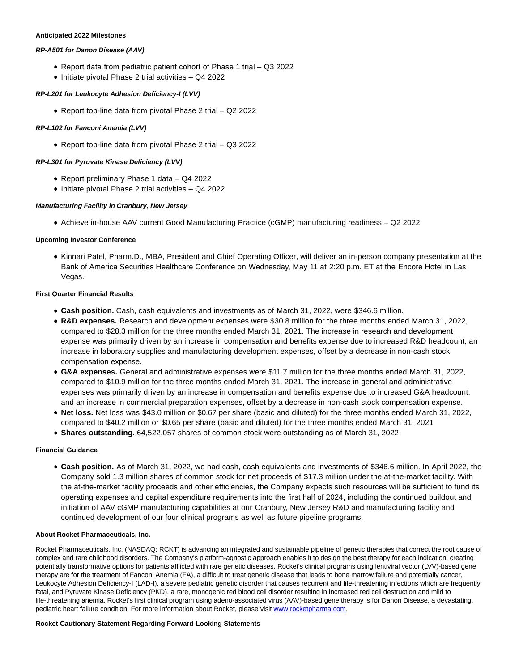#### **Anticipated 2022 Milestones**

## **RP-A501 for Danon Disease (AAV)**

- Report data from pediatric patient cohort of Phase 1 trial Q3 2022
- $\bullet$  Initiate pivotal Phase 2 trial activities  $-$  Q4 2022

# **RP-L201 for Leukocyte Adhesion Deficiency-I (LVV)**

Report top-line data from pivotal Phase 2 trial – Q2 2022

## **RP-L102 for Fanconi Anemia (LVV)**

Report top-line data from pivotal Phase 2 trial – Q3 2022

## **RP-L301 for Pyruvate Kinase Deficiency (LVV)**

- Report preliminary Phase 1 data Q4 2022
- $\bullet$  Initiate pivotal Phase 2 trial activities  $-$  Q4 2022

## **Manufacturing Facility in Cranbury, New Jersey**

Achieve in-house AAV current Good Manufacturing Practice (cGMP) manufacturing readiness – Q2 2022

# **Upcoming Investor Conference**

Kinnari Patel, Pharm.D., MBA, President and Chief Operating Officer, will deliver an in-person company presentation at the Bank of America Securities Healthcare Conference on Wednesday, May 11 at 2:20 p.m. ET at the Encore Hotel in Las Vegas.

## **First Quarter Financial Results**

- **Cash position.** Cash, cash equivalents and investments as of March 31, 2022, were \$346.6 million.
- **R&D expenses.** Research and development expenses were \$30.8 million for the three months ended March 31, 2022, compared to \$28.3 million for the three months ended March 31, 2021. The increase in research and development expense was primarily driven by an increase in compensation and benefits expense due to increased R&D headcount, an increase in laboratory supplies and manufacturing development expenses, offset by a decrease in non-cash stock compensation expense.
- **G&A expenses.** General and administrative expenses were \$11.7 million for the three months ended March 31, 2022, compared to \$10.9 million for the three months ended March 31, 2021. The increase in general and administrative expenses was primarily driven by an increase in compensation and benefits expense due to increased G&A headcount, and an increase in commercial preparation expenses, offset by a decrease in non-cash stock compensation expense.
- **Net loss.** Net loss was \$43.0 million or \$0.67 per share (basic and diluted) for the three months ended March 31, 2022, compared to \$40.2 million or \$0.65 per share (basic and diluted) for the three months ended March 31, 2021
- **Shares outstanding.** 64,522,057 shares of common stock were outstanding as of March 31, 2022

## **Financial Guidance**

**Cash position.** As of March 31, 2022, we had cash, cash equivalents and investments of \$346.6 million. In April 2022, the Company sold 1.3 million shares of common stock for net proceeds of \$17.3 million under the at-the-market facility. With the at-the-market facility proceeds and other efficiencies, the Company expects such resources will be sufficient to fund its operating expenses and capital expenditure requirements into the first half of 2024, including the continued buildout and initiation of AAV cGMP manufacturing capabilities at our Cranbury, New Jersey R&D and manufacturing facility and continued development of our four clinical programs as well as future pipeline programs.

## **About Rocket Pharmaceuticals, Inc.**

Rocket Pharmaceuticals, Inc. (NASDAQ: RCKT) is advancing an integrated and sustainable pipeline of genetic therapies that correct the root cause of complex and rare childhood disorders. The Company's platform-agnostic approach enables it to design the best therapy for each indication, creating potentially transformative options for patients afflicted with rare genetic diseases. Rocket's clinical programs using lentiviral vector (LVV)-based gene therapy are for the treatment of Fanconi Anemia (FA), a difficult to treat genetic disease that leads to bone marrow failure and potentially cancer, Leukocyte Adhesion Deficiency-I (LAD-I), a severe pediatric genetic disorder that causes recurrent and life-threatening infections which are frequently fatal, and Pyruvate Kinase Deficiency (PKD), a rare, monogenic red blood cell disorder resulting in increased red cell destruction and mild to life-threatening anemia. Rocket's first clinical program using adeno-associated virus (AAV)-based gene therapy is for Danon Disease, a devastating, pediatric heart failure condition. For more information about Rocket, please visit [www.rocketpharma.com.](https://cts.businesswire.com/ct/CT?id=smartlink&url=http%3A%2F%2Fwww.rocketpharma.com&esheet=52710018&newsitemid=20220505005970&lan=en-US&anchor=www.rocketpharma.com&index=2&md5=023af948083c9b253cea39859a699b1a)

#### **Rocket Cautionary Statement Regarding Forward-Looking Statements**